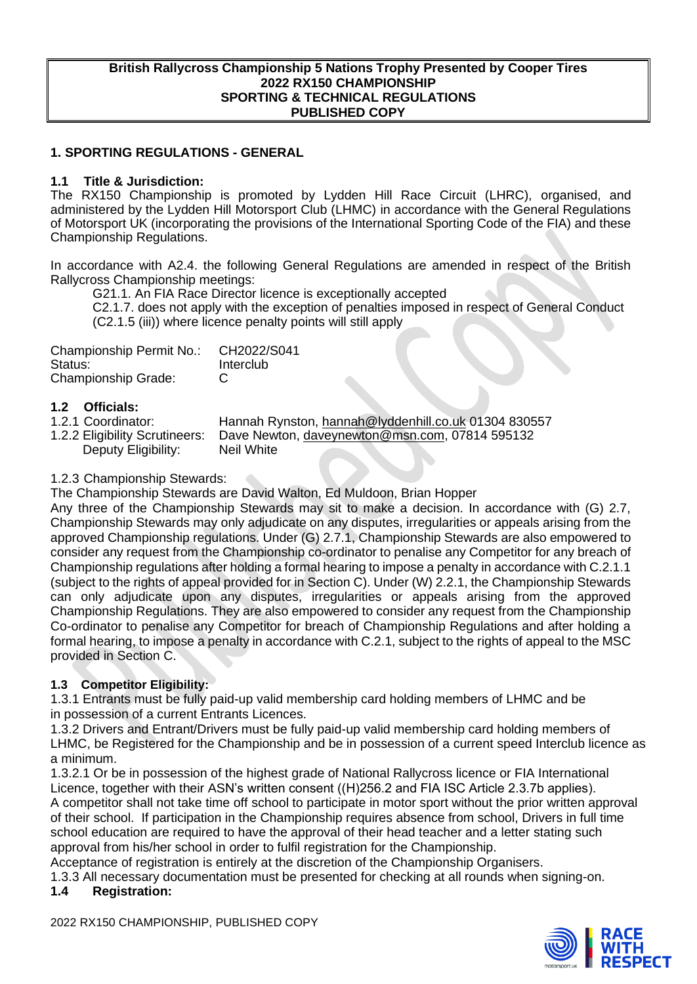#### **British Rallycross Championship 5 Nations Trophy Presented by Cooper Tires 2022 RX150 CHAMPIONSHIP SPORTING & TECHNICAL REGULATIONS PUBLISHED COPY**

## **1. SPORTING REGULATIONS - GENERAL**

#### **1.1 Title & Jurisdiction:**

The RX150 Championship is promoted by Lydden Hill Race Circuit (LHRC), organised, and administered by the Lydden Hill Motorsport Club (LHMC) in accordance with the General Regulations of Motorsport UK (incorporating the provisions of the International Sporting Code of the FIA) and these Championship Regulations.

In accordance with A2.4. the following General Regulations are amended in respect of the British Rallycross Championship meetings:

G21.1. An FIA Race Director licence is exceptionally accepted

C2.1.7. does not apply with the exception of penalties imposed in respect of General Conduct (C2.1.5 (iii)) where licence penalty points will still apply

| Championship Permit No.:   | CH2022/S041 |
|----------------------------|-------------|
| Status:                    | Interclub   |
| <b>Championship Grade:</b> | C           |

# **1.2 Officials:**

- 
- Deputy Eligibility: Neil White

1.2.1 Coordinator: Hannah Rynston, [hannah@lyddenhill.co.uk](mailto:hannah@lyddenhill.co.uk) 01304 830557<br>1.2.2 Eligibility Scrutineers: Dave Newton, daveynewton@msn.com, 07814 595132 Dave Newton, [daveynewton@msn.com,](mailto:daveynewton@msn.com) 07814 595132

## 1.2.3 Championship Stewards:

The Championship Stewards are David Walton, Ed Muldoon, Brian Hopper

Any three of the Championship Stewards may sit to make a decision. In accordance with (G) 2.7, Championship Stewards may only adjudicate on any disputes, irregularities or appeals arising from the approved Championship regulations. Under (G) 2.7.1, Championship Stewards are also empowered to consider any request from the Championship co-ordinator to penalise any Competitor for any breach of Championship regulations after holding a formal hearing to impose a penalty in accordance with C.2.1.1 (subject to the rights of appeal provided for in Section C). Under (W) 2.2.1, the Championship Stewards can only adjudicate upon any disputes, irregularities or appeals arising from the approved Championship Regulations. They are also empowered to consider any request from the Championship Co-ordinator to penalise any Competitor for breach of Championship Regulations and after holding a formal hearing, to impose a penalty in accordance with C.2.1, subject to the rights of appeal to the MSC provided in Section C.

## **1.3 Competitor Eligibility:**

1.3.1 Entrants must be fully paid-up valid membership card holding members of LHMC and be in possession of a current Entrants Licences.

1.3.2 Drivers and Entrant/Drivers must be fully paid-up valid membership card holding members of LHMC, be Registered for the Championship and be in possession of a current speed Interclub licence as a minimum.

1.3.2.1 Or be in possession of the highest grade of National Rallycross licence or FIA International Licence, together with their ASN's written consent ((H)256.2 and FIA ISC Article 2.3.7b applies). A competitor shall not take time off school to participate in motor sport without the prior written approval of their school. If participation in the Championship requires absence from school, Drivers in full time school education are required to have the approval of their head teacher and a letter stating such approval from his/her school in order to fulfil registration for the Championship.

Acceptance of registration is entirely at the discretion of the Championship Organisers.

1.3.3 All necessary documentation must be presented for checking at all rounds when signing-on.

## **1.4 Registration:**

2022 RX150 CHAMPIONSHIP, PUBLISHED COPY

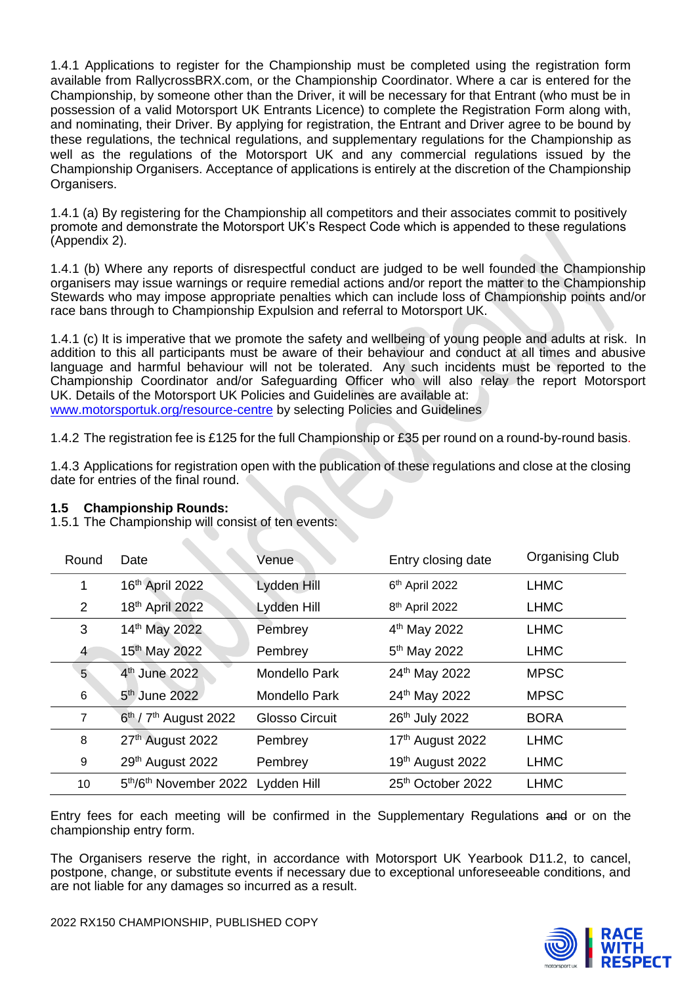1.4.1 Applications to register for the Championship must be completed using the registration form available from RallycrossBRX.com, or the Championship Coordinator. Where a car is entered for the Championship, by someone other than the Driver, it will be necessary for that Entrant (who must be in possession of a valid Motorsport UK Entrants Licence) to complete the Registration Form along with, and nominating, their Driver. By applying for registration, the Entrant and Driver agree to be bound by these regulations, the technical regulations, and supplementary regulations for the Championship as well as the regulations of the Motorsport UK and any commercial regulations issued by the Championship Organisers. Acceptance of applications is entirely at the discretion of the Championship Organisers.

1.4.1 (a) By registering for the Championship all competitors and their associates commit to positively promote and demonstrate the Motorsport UK's Respect Code which is appended to these regulations (Appendix 2).

1.4.1 (b) Where any reports of disrespectful conduct are judged to be well founded the Championship organisers may issue warnings or require remedial actions and/or report the matter to the Championship Stewards who may impose appropriate penalties which can include loss of Championship points and/or race bans through to Championship Expulsion and referral to Motorsport UK.

1.4.1 (c) It is imperative that we promote the safety and wellbeing of young people and adults at risk. In addition to this all participants must be aware of their behaviour and conduct at all times and abusive language and harmful behaviour will not be tolerated. Any such incidents must be reported to the Championship Coordinator and/or Safeguarding Officer who will also relay the report Motorsport UK. Details of the Motorsport UK Policies and Guidelines are available at: [www.motorsportuk.org/resource-centre](http://www.motorsportuk.org/resource-centre) by selecting Policies and Guidelines

1.4.2 The registration fee is £125 for the full Championship or £35 per round on a round-by-round basis.

1.4.3 Applications for registration open with the publication of these regulations and close at the closing date for entries of the final round.

| Round          | Date                                           | Venue                 | Entry closing date            | <b>Organising Club</b> |
|----------------|------------------------------------------------|-----------------------|-------------------------------|------------------------|
| 1              | 16th April 2022                                | Lydden Hill           | 6th April 2022                | <b>LHMC</b>            |
| 2              | 18th April 2022                                | Lydden Hill           | 8 <sup>th</sup> April 2022    | <b>LHMC</b>            |
| 3              | 14th May 2022                                  | Pembrey               | 4 <sup>th</sup> May 2022      | <b>LHMC</b>            |
| 4              | 15 <sup>th</sup> May 2022                      | Pembrey               | 5 <sup>th</sup> May 2022      | <b>LHMC</b>            |
| $5^{\circ}$    | 4 <sup>th</sup> June 2022                      | <b>Mondello Park</b>  | 24th May 2022                 | <b>MPSC</b>            |
| 6              | 5 <sup>th</sup> June 2022                      | Mondello Park         | 24th May 2022                 | <b>MPSC</b>            |
| $\overline{7}$ | $6th$ / $7th$ August 2022                      | <b>Glosso Circuit</b> | 26th July 2022                | <b>BORA</b>            |
| 8              | 27th August 2022                               | Pembrey               | 17th August 2022              | <b>LHMC</b>            |
| 9              | 29th August 2022                               | Pembrey               | 19th August 2022              | <b>LHMC</b>            |
| 10             | 5 <sup>th</sup> /6 <sup>th</sup> November 2022 | Lydden Hill           | 25 <sup>th</sup> October 2022 | <b>LHMC</b>            |
|                |                                                |                       |                               |                        |

## **1.5 Championship Rounds:**

1.5.1 The Championship will consist of ten events:

Entry fees for each meeting will be confirmed in the Supplementary Regulations and or on the championship entry form.

The Organisers reserve the right, in accordance with Motorsport UK Yearbook D11.2, to cancel, postpone, change, or substitute events if necessary due to exceptional unforeseeable conditions, and are not liable for any damages so incurred as a result.

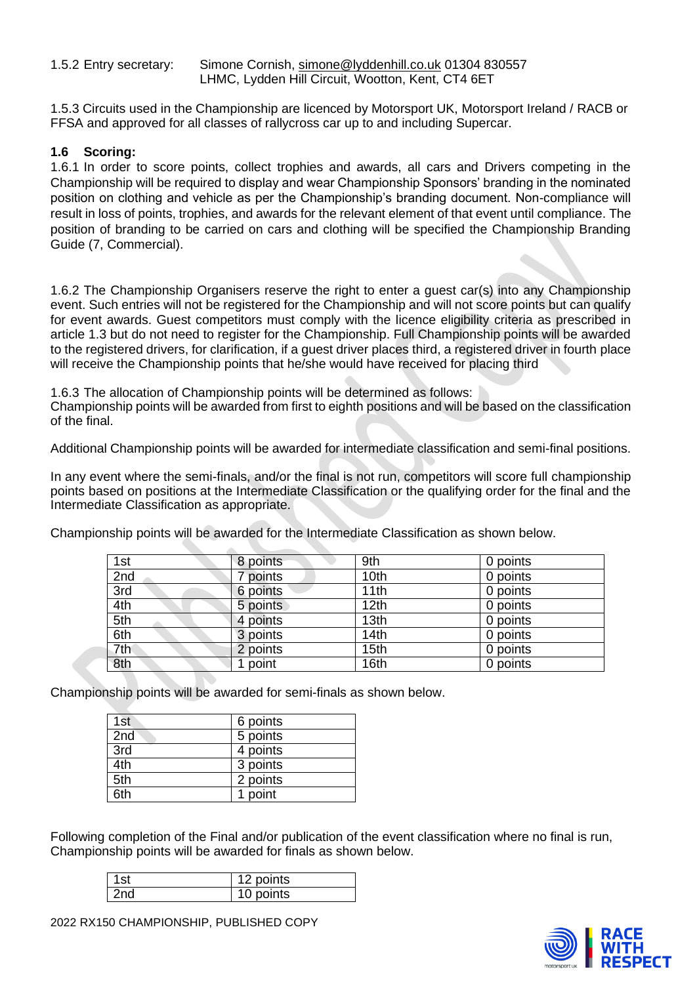1.5.2 Entry secretary: Simone Cornish, [simone@lyddenhill.co.uk](mailto:simone@lyddenhill.co.uk) 01304 830557 LHMC, Lydden Hill Circuit, Wootton, Kent, CT4 6ET

1.5.3 Circuits used in the Championship are licenced by Motorsport UK, Motorsport Ireland / RACB or FFSA and approved for all classes of rallycross car up to and including Supercar.

## **1.6 Scoring:**

1.6.1 In order to score points, collect trophies and awards, all cars and Drivers competing in the Championship will be required to display and wear Championship Sponsors' branding in the nominated position on clothing and vehicle as per the Championship's branding document. Non-compliance will result in loss of points, trophies, and awards for the relevant element of that event until compliance. The position of branding to be carried on cars and clothing will be specified the Championship Branding Guide (7, Commercial).

1.6.2 The Championship Organisers reserve the right to enter a guest car(s) into any Championship event. Such entries will not be registered for the Championship and will not score points but can qualify for event awards. Guest competitors must comply with the licence eligibility criteria as prescribed in article 1.3 but do not need to register for the Championship. Full Championship points will be awarded to the registered drivers, for clarification, if a guest driver places third, a registered driver in fourth place will receive the Championship points that he/she would have received for placing third

1.6.3 The allocation of Championship points will be determined as follows:

Championship points will be awarded from first to eighth positions and will be based on the classification of the final.

Additional Championship points will be awarded for intermediate classification and semi-final positions.

In any event where the semi-finals, and/or the final is not run, competitors will score full championship points based on positions at the Intermediate Classification or the qualifying order for the final and the Intermediate Classification as appropriate.

Championship points will be awarded for the Intermediate Classification as shown below.

| 1st | 8 points | 9th              | 0 points |
|-----|----------|------------------|----------|
| 2nd | points   | 10th             | 0 points |
| 3rd | 6 points | 11th             | 0 points |
| 4th | 5 points | 12 <sub>th</sub> | 0 points |
| 5th | 4 points | 13th             | 0 points |
| 6th | 3 points | 14th             | 0 points |
| 7th | 2 points | 15th             | 0 points |
| 8th | point    | 16th             | 0 points |

Championship points will be awarded for semi-finals as shown below.

| 1st | 6 points |
|-----|----------|
| 2nd | 5 points |
| 3rd | 4 points |
| 4th | 3 points |
| 5th | 2 points |
| 6th | 1 point  |

Following completion of the Final and/or publication of the event classification where no final is run, Championship points will be awarded for finals as shown below.

| 'st | points |
|-----|--------|
|     | points |



2022 RX150 CHAMPIONSHIP, PUBLISHED COPY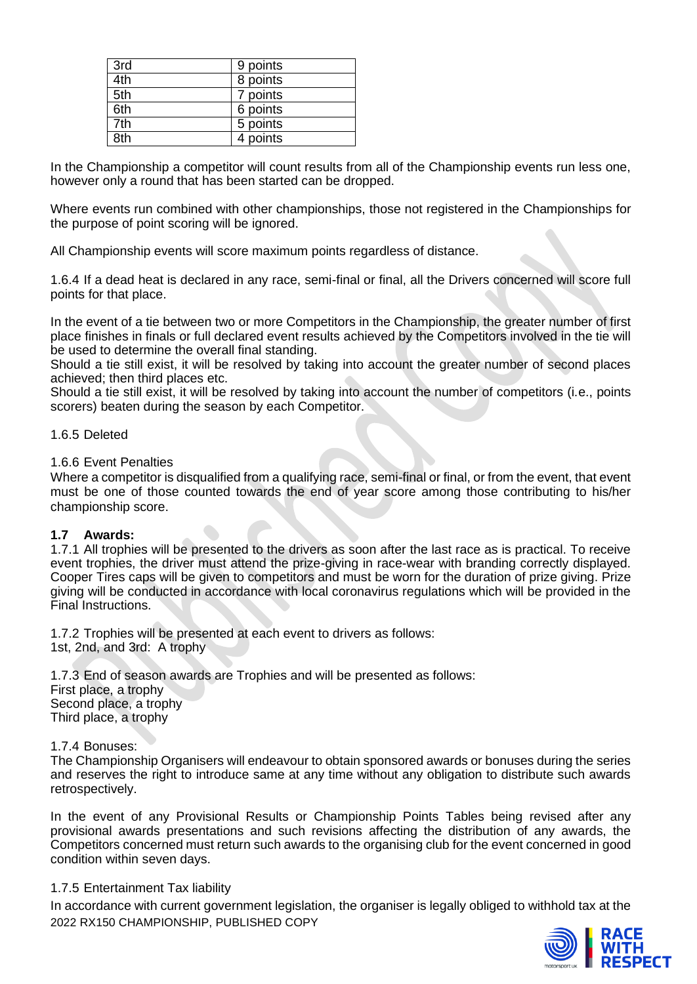| 3rd | 9 points |
|-----|----------|
| 4th | 8 points |
| 5th | 7 points |
| 6th | 6 points |
| 7th | 5 points |
| 8th | 4 points |

In the Championship a competitor will count results from all of the Championship events run less one, however only a round that has been started can be dropped.

Where events run combined with other championships, those not registered in the Championships for the purpose of point scoring will be ignored.

All Championship events will score maximum points regardless of distance.

1.6.4 If a dead heat is declared in any race, semi-final or final, all the Drivers concerned will score full points for that place.

In the event of a tie between two or more Competitors in the Championship, the greater number of first place finishes in finals or full declared event results achieved by the Competitors involved in the tie will be used to determine the overall final standing.

Should a tie still exist, it will be resolved by taking into account the greater number of second places achieved; then third places etc.

Should a tie still exist, it will be resolved by taking into account the number of competitors (i.e., points scorers) beaten during the season by each Competitor.

#### 1.6.5 Deleted

1.6.6 Event Penalties

Where a competitor is disqualified from a qualifying race, semi-final or final, or from the event, that event must be one of those counted towards the end of year score among those contributing to his/her championship score.

## **1.7 Awards:**

1.7.1 All trophies will be presented to the drivers as soon after the last race as is practical. To receive event trophies, the driver must attend the prize-giving in race-wear with branding correctly displayed. Cooper Tires caps will be given to competitors and must be worn for the duration of prize giving. Prize giving will be conducted in accordance with local coronavirus regulations which will be provided in the Final Instructions.

1.7.2 Trophies will be presented at each event to drivers as follows: 1st, 2nd, and 3rd: A trophy

1.7.3 End of season awards are Trophies and will be presented as follows: First place, a trophy Second place, a trophy Third place, a trophy

1.7.4 Bonuses:

The Championship Organisers will endeavour to obtain sponsored awards or bonuses during the series and reserves the right to introduce same at any time without any obligation to distribute such awards retrospectively.

In the event of any Provisional Results or Championship Points Tables being revised after any provisional awards presentations and such revisions affecting the distribution of any awards, the Competitors concerned must return such awards to the organising club for the event concerned in good condition within seven days.

## 1.7.5 Entertainment Tax liability

2022 RX150 CHAMPIONSHIP, PUBLISHED COPY In accordance with current government legislation, the organiser is legally obliged to withhold tax at the

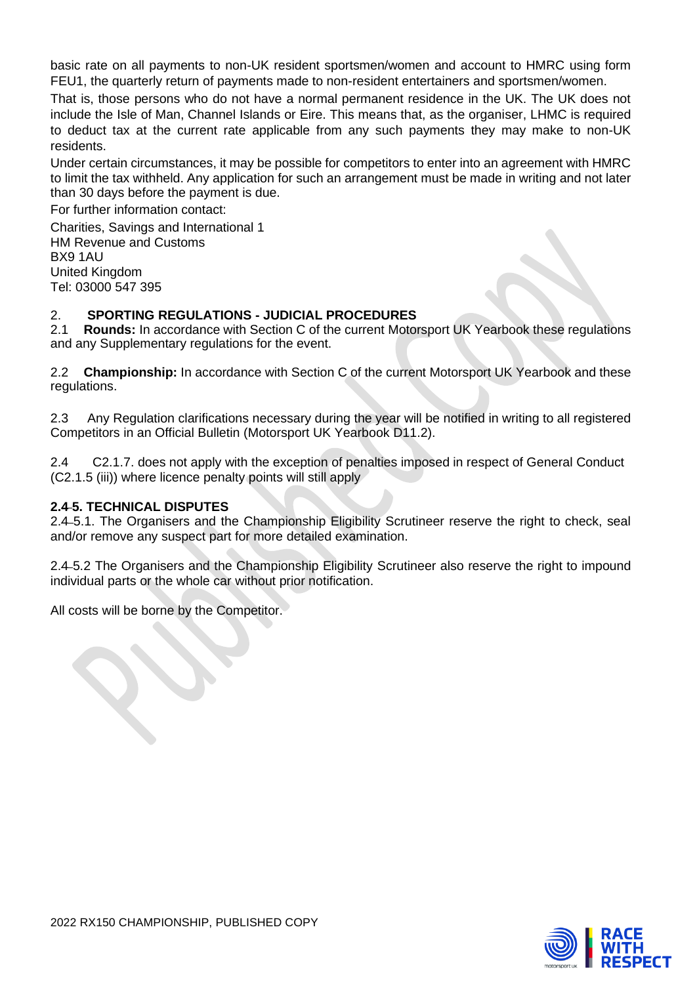basic rate on all payments to non-UK resident sportsmen/women and account to HMRC using form FEU1, the quarterly return of payments made to non-resident entertainers and sportsmen/women.

That is, those persons who do not have a normal permanent residence in the UK. The UK does not include the Isle of Man, Channel Islands or Eire. This means that, as the organiser, LHMC is required to deduct tax at the current rate applicable from any such payments they may make to non-UK residents.

Under certain circumstances, it may be possible for competitors to enter into an agreement with HMRC to limit the tax withheld. Any application for such an arrangement must be made in writing and not later than 30 days before the payment is due.

For further information contact:

Charities, Savings and International 1 HM Revenue and Customs BX9 1AU United Kingdom Tel: 03000 547 395

## 2. **SPORTING REGULATIONS - JUDICIAL PROCEDURES**

2.1 **Rounds:** In accordance with Section C of the current Motorsport UK Yearbook these regulations and any Supplementary regulations for the event.

2.2 **Championship:** In accordance with Section C of the current Motorsport UK Yearbook and these regulations.

2.3 Any Regulation clarifications necessary during the year will be notified in writing to all registered Competitors in an Official Bulletin (Motorsport UK Yearbook D11.2).

2.4 C2.1.7. does not apply with the exception of penalties imposed in respect of General Conduct (C2.1.5 (iii)) where licence penalty points will still apply

## **2.4 5. TECHNICAL DISPUTES**

2.4 5.1. The Organisers and the Championship Eligibility Scrutineer reserve the right to check, seal and/or remove any suspect part for more detailed examination.

2.4 5.2 The Organisers and the Championship Eligibility Scrutineer also reserve the right to impound individual parts or the whole car without prior notification.

All costs will be borne by the Competitor.

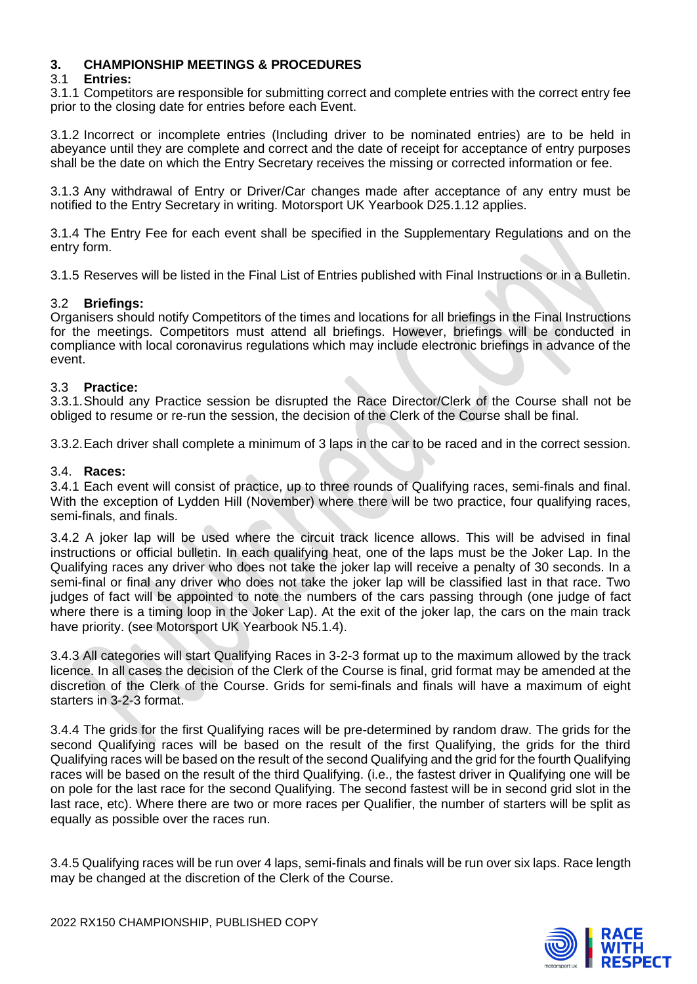## **3. CHAMPIONSHIP MEETINGS & PROCEDURES**

## 3.1 **Entries:**

3.1.1 Competitors are responsible for submitting correct and complete entries with the correct entry fee prior to the closing date for entries before each Event.

3.1.2 Incorrect or incomplete entries (Including driver to be nominated entries) are to be held in abeyance until they are complete and correct and the date of receipt for acceptance of entry purposes shall be the date on which the Entry Secretary receives the missing or corrected information or fee.

3.1.3 Any withdrawal of Entry or Driver/Car changes made after acceptance of any entry must be notified to the Entry Secretary in writing. Motorsport UK Yearbook D25.1.12 applies.

3.1.4 The Entry Fee for each event shall be specified in the Supplementary Regulations and on the entry form.

3.1.5 Reserves will be listed in the Final List of Entries published with Final Instructions or in a Bulletin.

#### 3.2 **Briefings:**

Organisers should notify Competitors of the times and locations for all briefings in the Final Instructions for the meetings. Competitors must attend all briefings. However, briefings will be conducted in compliance with local coronavirus regulations which may include electronic briefings in advance of the event.

#### 3.3 **Practice:**

3.3.1.Should any Practice session be disrupted the Race Director/Clerk of the Course shall not be obliged to resume or re-run the session, the decision of the Clerk of the Course shall be final.

3.3.2.Each driver shall complete a minimum of 3 laps in the car to be raced and in the correct session.

#### 3.4. **Races:**

3.4.1 Each event will consist of practice, up to three rounds of Qualifying races, semi-finals and final. With the exception of Lydden Hill (November) where there will be two practice, four qualifying races, semi-finals, and finals.

3.4.2 A joker lap will be used where the circuit track licence allows. This will be advised in final instructions or official bulletin. In each qualifying heat, one of the laps must be the Joker Lap. In the Qualifying races any driver who does not take the joker lap will receive a penalty of 30 seconds. In a semi-final or final any driver who does not take the joker lap will be classified last in that race. Two judges of fact will be appointed to note the numbers of the cars passing through (one judge of fact where there is a timing loop in the Joker Lap). At the exit of the joker lap, the cars on the main track have priority. (see Motorsport UK Yearbook N5.1.4).

3.4.3 All categories will start Qualifying Races in 3-2-3 format up to the maximum allowed by the track licence. In all cases the decision of the Clerk of the Course is final, grid format may be amended at the discretion of the Clerk of the Course. Grids for semi-finals and finals will have a maximum of eight starters in 3-2-3 format.

3.4.4 The grids for the first Qualifying races will be pre-determined by random draw. The grids for the second Qualifying races will be based on the result of the first Qualifying, the grids for the third Qualifying races will be based on the result of the second Qualifying and the grid for the fourth Qualifying races will be based on the result of the third Qualifying. (i.e., the fastest driver in Qualifying one will be on pole for the last race for the second Qualifying. The second fastest will be in second grid slot in the last race, etc). Where there are two or more races per Qualifier, the number of starters will be split as equally as possible over the races run.

3.4.5 Qualifying races will be run over 4 laps, semi-finals and finals will be run over six laps. Race length may be changed at the discretion of the Clerk of the Course.

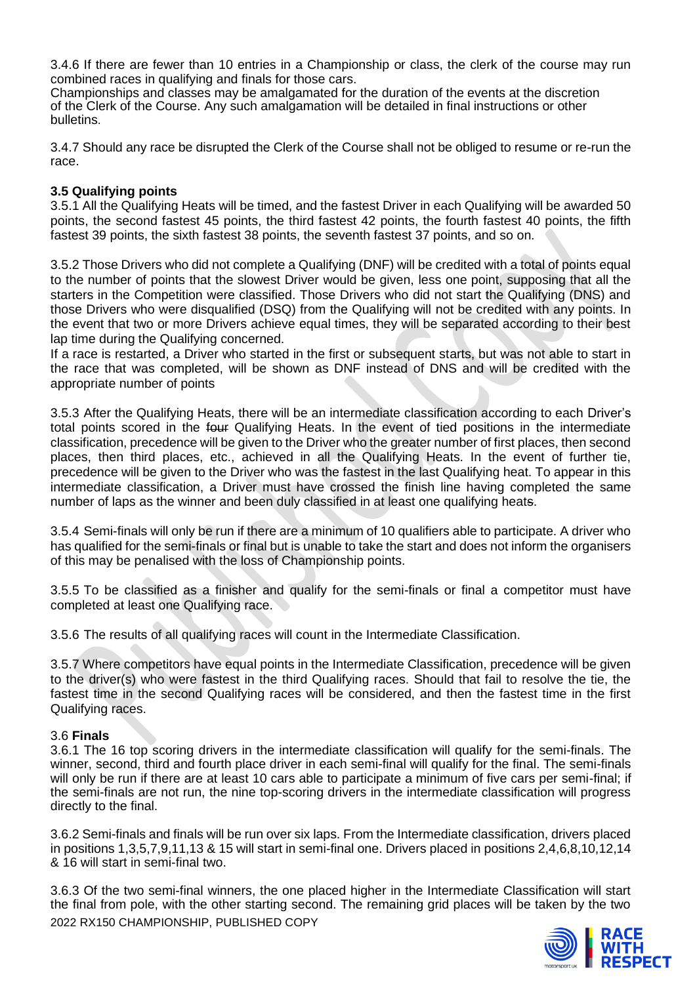3.4.6 If there are fewer than 10 entries in a Championship or class, the clerk of the course may run combined races in qualifying and finals for those cars.

Championships and classes may be amalgamated for the duration of the events at the discretion of the Clerk of the Course. Any such amalgamation will be detailed in final instructions or other bulletins.

3.4.7 Should any race be disrupted the Clerk of the Course shall not be obliged to resume or re-run the race.

## **3.5 Qualifying points**

3.5.1 All the Qualifying Heats will be timed, and the fastest Driver in each Qualifying will be awarded 50 points, the second fastest 45 points, the third fastest 42 points, the fourth fastest 40 points, the fifth fastest 39 points, the sixth fastest 38 points, the seventh fastest 37 points, and so on.

3.5.2 Those Drivers who did not complete a Qualifying (DNF) will be credited with a total of points equal to the number of points that the slowest Driver would be given, less one point, supposing that all the starters in the Competition were classified. Those Drivers who did not start the Qualifying (DNS) and those Drivers who were disqualified (DSQ) from the Qualifying will not be credited with any points. In the event that two or more Drivers achieve equal times, they will be separated according to their best lap time during the Qualifying concerned.

If a race is restarted, a Driver who started in the first or subsequent starts, but was not able to start in the race that was completed, will be shown as DNF instead of DNS and will be credited with the appropriate number of points

3.5.3 After the Qualifying Heats, there will be an intermediate classification according to each Driver's total points scored in the four Qualifying Heats. In the event of tied positions in the intermediate classification, precedence will be given to the Driver who the greater number of first places, then second places, then third places, etc., achieved in all the Qualifying Heats. In the event of further tie, precedence will be given to the Driver who was the fastest in the last Qualifying heat. To appear in this intermediate classification, a Driver must have crossed the finish line having completed the same number of laps as the winner and been duly classified in at least one qualifying heats.

3.5.4 Semi-finals will only be run if there are a minimum of 10 qualifiers able to participate. A driver who has qualified for the semi-finals or final but is unable to take the start and does not inform the organisers of this may be penalised with the loss of Championship points.

3.5.5 To be classified as a finisher and qualify for the semi-finals or final a competitor must have completed at least one Qualifying race.

3.5.6 The results of all qualifying races will count in the Intermediate Classification.

3.5.7 Where competitors have equal points in the Intermediate Classification, precedence will be given to the driver(s) who were fastest in the third Qualifying races. Should that fail to resolve the tie, the fastest time in the second Qualifying races will be considered, and then the fastest time in the first Qualifying races.

## 3.6 **Finals**

3.6.1 The 16 top scoring drivers in the intermediate classification will qualify for the semi-finals. The winner, second, third and fourth place driver in each semi-final will qualify for the final. The semi-finals will only be run if there are at least 10 cars able to participate a minimum of five cars per semi-final; if the semi-finals are not run, the nine top-scoring drivers in the intermediate classification will progress directly to the final.

3.6.2 Semi-finals and finals will be run over six laps. From the Intermediate classification, drivers placed in positions 1,3,5,7,9,11,13 & 15 will start in semi-final one. Drivers placed in positions 2,4,6,8,10,12,14 & 16 will start in semi-final two.

2022 RX150 CHAMPIONSHIP, PUBLISHED COPY 3.6.3 Of the two semi-final winners, the one placed higher in the Intermediate Classification will start the final from pole, with the other starting second. The remaining grid places will be taken by the two

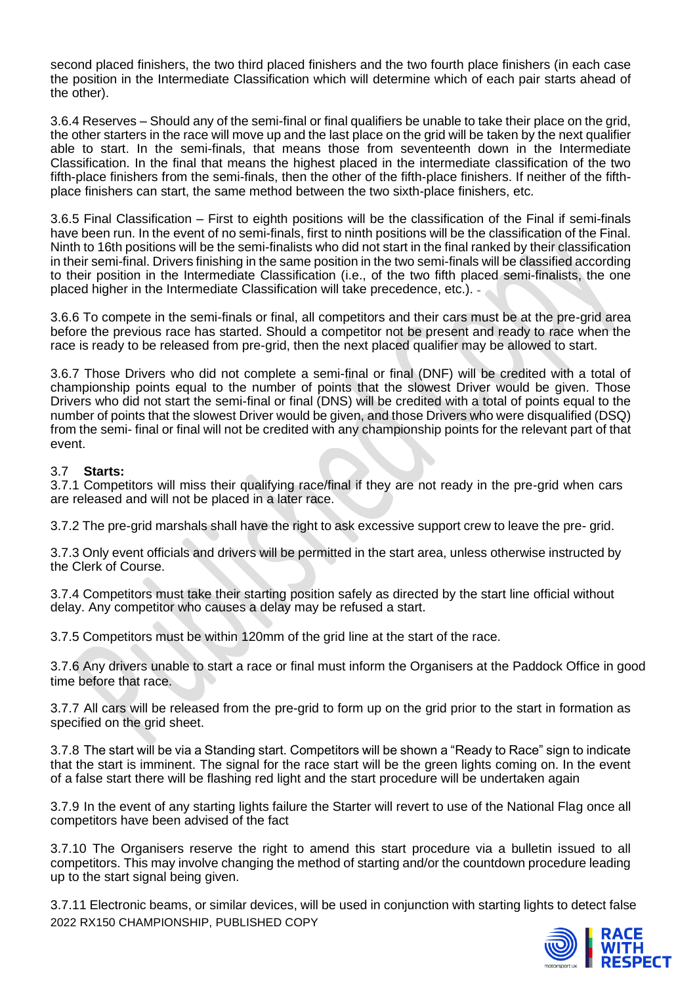second placed finishers, the two third placed finishers and the two fourth place finishers (in each case the position in the Intermediate Classification which will determine which of each pair starts ahead of the other).

3.6.4 Reserves – Should any of the semi-final or final qualifiers be unable to take their place on the grid, the other starters in the race will move up and the last place on the grid will be taken by the next qualifier able to start. In the semi-finals, that means those from seventeenth down in the Intermediate Classification. In the final that means the highest placed in the intermediate classification of the two fifth-place finishers from the semi-finals, then the other of the fifth-place finishers. If neither of the fifthplace finishers can start, the same method between the two sixth-place finishers, etc.

3.6.5 Final Classification – First to eighth positions will be the classification of the Final if semi-finals have been run. In the event of no semi-finals, first to ninth positions will be the classification of the Final. Ninth to 16th positions will be the semi-finalists who did not start in the final ranked by their classification in their semi-final. Drivers finishing in the same position in the two semi-finals will be classified according to their position in the Intermediate Classification (i.e., of the two fifth placed semi-finalists, the one placed higher in the Intermediate Classification will take precedence, etc.).

3.6.6 To compete in the semi-finals or final, all competitors and their cars must be at the pre-grid area before the previous race has started. Should a competitor not be present and ready to race when the race is ready to be released from pre-grid, then the next placed qualifier may be allowed to start.

3.6.7 Those Drivers who did not complete a semi-final or final (DNF) will be credited with a total of championship points equal to the number of points that the slowest Driver would be given. Those Drivers who did not start the semi-final or final (DNS) will be credited with a total of points equal to the number of points that the slowest Driver would be given, and those Drivers who were disqualified (DSQ) from the semi- final or final will not be credited with any championship points for the relevant part of that event.

## 3.7 **Starts:**

3.7.1 Competitors will miss their qualifying race/final if they are not ready in the pre-grid when cars are released and will not be placed in a later race.

3.7.2 The pre-grid marshals shall have the right to ask excessive support crew to leave the pre- grid.

3.7.3 Only event officials and drivers will be permitted in the start area, unless otherwise instructed by the Clerk of Course.

3.7.4 Competitors must take their starting position safely as directed by the start line official without delay. Any competitor who causes a delay may be refused a start.

3.7.5 Competitors must be within 120mm of the grid line at the start of the race.

3.7.6 Any drivers unable to start a race or final must inform the Organisers at the Paddock Office in good time before that race.

3.7.7 All cars will be released from the pre-grid to form up on the grid prior to the start in formation as specified on the grid sheet.

3.7.8 The start will be via a Standing start. Competitors will be shown a "Ready to Race" sign to indicate that the start is imminent. The signal for the race start will be the green lights coming on. In the event of a false start there will be flashing red light and the start procedure will be undertaken again

3.7.9 In the event of any starting lights failure the Starter will revert to use of the National Flag once all competitors have been advised of the fact

3.7.10 The Organisers reserve the right to amend this start procedure via a bulletin issued to all competitors. This may involve changing the method of starting and/or the countdown procedure leading up to the start signal being given.

2022 RX150 CHAMPIONSHIP, PUBLISHED COPY 3.7.11 Electronic beams, or similar devices, will be used in conjunction with starting lights to detect false

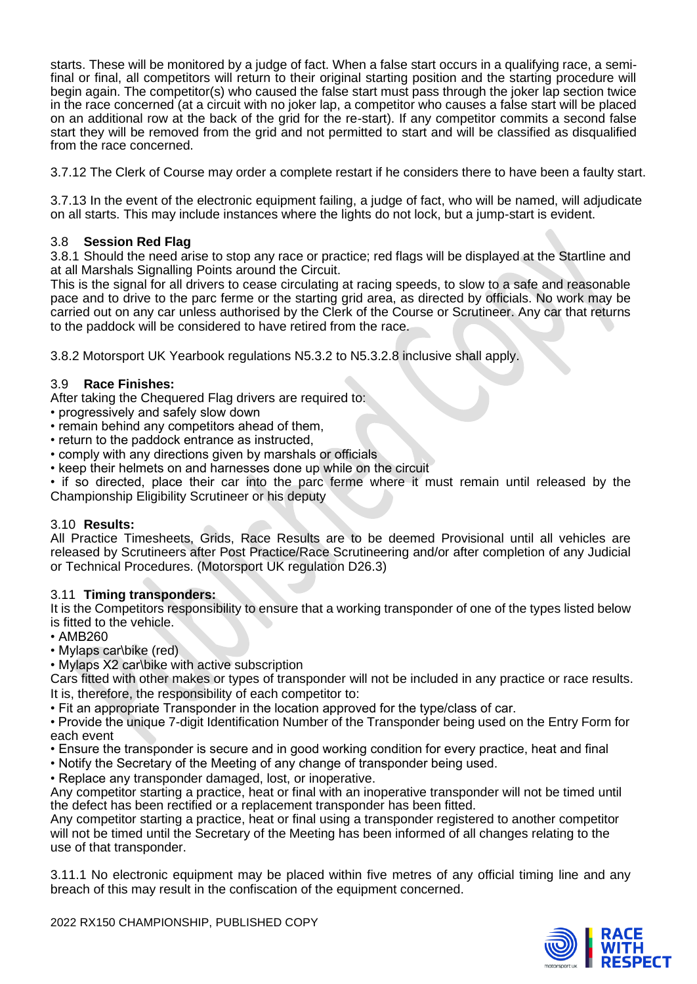starts. These will be monitored by a judge of fact. When a false start occurs in a qualifying race, a semifinal or final, all competitors will return to their original starting position and the starting procedure will begin again. The competitor(s) who caused the false start must pass through the joker lap section twice in the race concerned (at a circuit with no joker lap, a competitor who causes a false start will be placed on an additional row at the back of the grid for the re-start). If any competitor commits a second false start they will be removed from the grid and not permitted to start and will be classified as disqualified from the race concerned.

3.7.12 The Clerk of Course may order a complete restart if he considers there to have been a faulty start.

3.7.13 In the event of the electronic equipment failing, a judge of fact, who will be named, will adjudicate on all starts. This may include instances where the lights do not lock, but a jump-start is evident.

## 3.8 **Session Red Flag**

3.8.1 Should the need arise to stop any race or practice; red flags will be displayed at the Startline and at all Marshals Signalling Points around the Circuit.

This is the signal for all drivers to cease circulating at racing speeds, to slow to a safe and reasonable pace and to drive to the parc ferme or the starting grid area, as directed by officials. No work may be carried out on any car unless authorised by the Clerk of the Course or Scrutineer. Any car that returns to the paddock will be considered to have retired from the race.

3.8.2 Motorsport UK Yearbook regulations N5.3.2 to N5.3.2.8 inclusive shall apply.

## 3.9 **Race Finishes:**

After taking the Chequered Flag drivers are required to:

- progressively and safely slow down
- remain behind any competitors ahead of them,
- return to the paddock entrance as instructed,
- comply with any directions given by marshals or officials

• keep their helmets on and harnesses done up while on the circuit

• if so directed, place their car into the parc ferme where it must remain until released by the Championship Eligibility Scrutineer or his deputy

#### 3.10 **Results:**

All Practice Timesheets, Grids, Race Results are to be deemed Provisional until all vehicles are released by Scrutineers after Post Practice/Race Scrutineering and/or after completion of any Judicial or Technical Procedures. (Motorsport UK regulation D26.3)

#### 3.11 **Timing transponders:**

It is the Competitors responsibility to ensure that a working transponder of one of the types listed below is fitted to the vehicle.

- AMB260
- Mylaps car\bike (red)
- Mylaps X2 car\bike with active subscription

Cars fitted with other makes or types of transponder will not be included in any practice or race results. It is, therefore, the responsibility of each competitor to:

• Fit an appropriate Transponder in the location approved for the type/class of car.

• Provide the unique 7-digit Identification Number of the Transponder being used on the Entry Form for each event

- Ensure the transponder is secure and in good working condition for every practice, heat and final
- Notify the Secretary of the Meeting of any change of transponder being used.
- Replace any transponder damaged, lost, or inoperative.

Any competitor starting a practice, heat or final with an inoperative transponder will not be timed until the defect has been rectified or a replacement transponder has been fitted.

Any competitor starting a practice, heat or final using a transponder registered to another competitor will not be timed until the Secretary of the Meeting has been informed of all changes relating to the use of that transponder.

3.11.1 No electronic equipment may be placed within five metres of any official timing line and any breach of this may result in the confiscation of the equipment concerned.

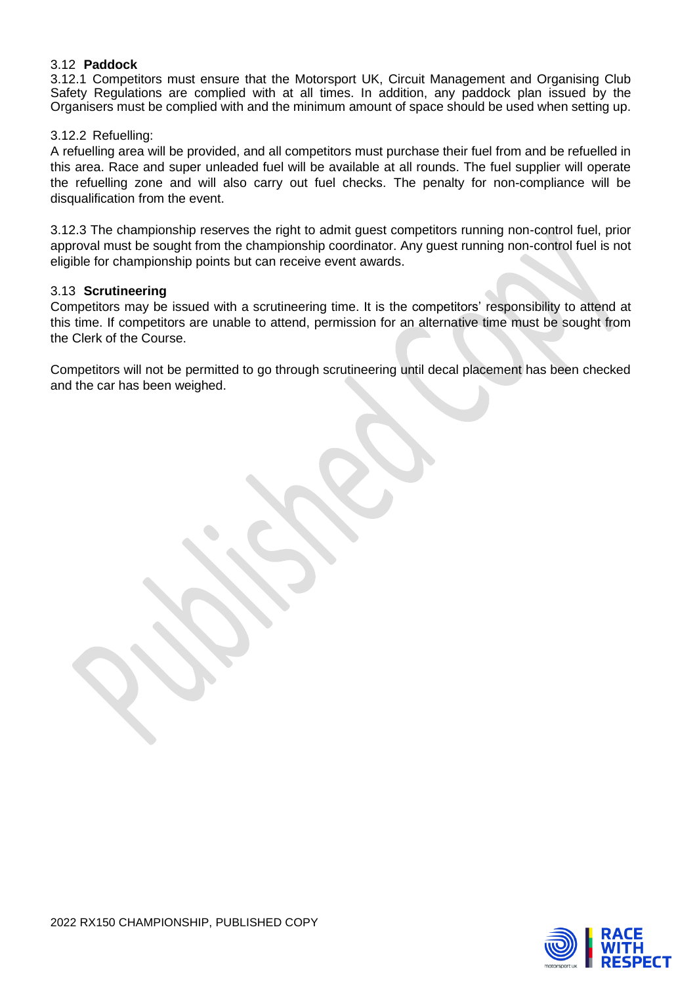## 3.12 **Paddock**

3.12.1 Competitors must ensure that the Motorsport UK, Circuit Management and Organising Club Safety Regulations are complied with at all times. In addition, any paddock plan issued by the Organisers must be complied with and the minimum amount of space should be used when setting up.

#### 3.12.2 Refuelling:

A refuelling area will be provided, and all competitors must purchase their fuel from and be refuelled in this area. Race and super unleaded fuel will be available at all rounds. The fuel supplier will operate the refuelling zone and will also carry out fuel checks. The penalty for non-compliance will be disqualification from the event.

3.12.3 The championship reserves the right to admit guest competitors running non-control fuel, prior approval must be sought from the championship coordinator. Any guest running non-control fuel is not eligible for championship points but can receive event awards.

#### 3.13 **Scrutineering**

Competitors may be issued with a scrutineering time. It is the competitors' responsibility to attend at this time. If competitors are unable to attend, permission for an alternative time must be sought from the Clerk of the Course.

Competitors will not be permitted to go through scrutineering until decal placement has been checked and the car has been weighed.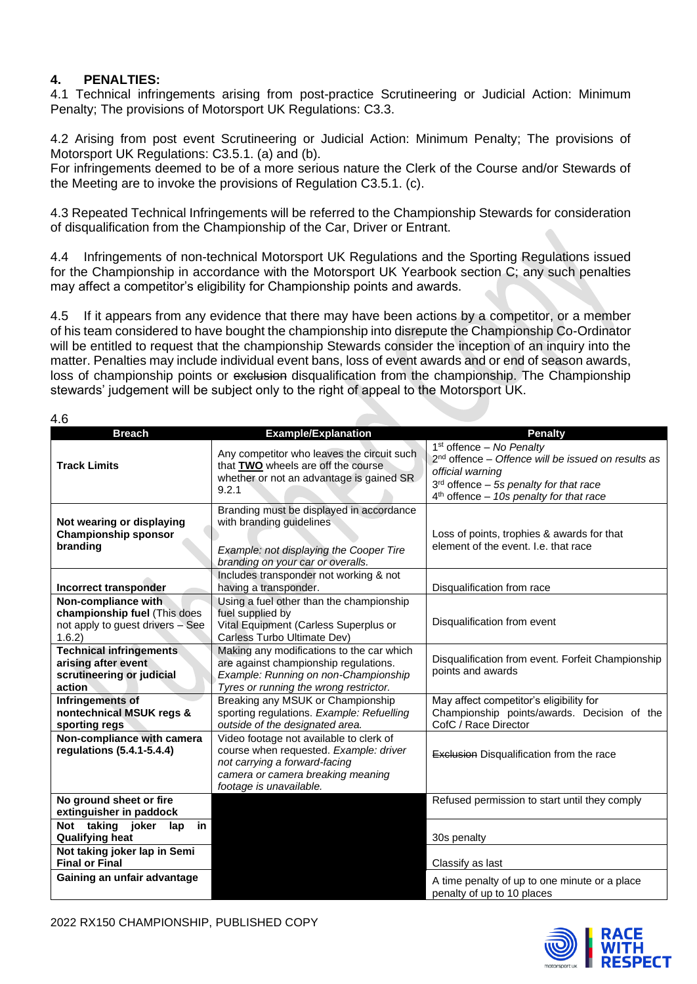## **4. PENALTIES:**

4.1 Technical infringements arising from post-practice Scrutineering or Judicial Action: Minimum Penalty; The provisions of Motorsport UK Regulations: C3.3.

4.2 Arising from post event Scrutineering or Judicial Action: Minimum Penalty; The provisions of Motorsport UK Regulations: C3.5.1. (a) and (b).

For infringements deemed to be of a more serious nature the Clerk of the Course and/or Stewards of the Meeting are to invoke the provisions of Regulation C3.5.1. (c).

4.3 Repeated Technical Infringements will be referred to the Championship Stewards for consideration of disqualification from the Championship of the Car, Driver or Entrant.

4.4 Infringements of non-technical Motorsport UK Regulations and the Sporting Regulations issued for the Championship in accordance with the Motorsport UK Yearbook section C; any such penalties may affect a competitor's eligibility for Championship points and awards.

4.5 If it appears from any evidence that there may have been actions by a competitor, or a member of his team considered to have bought the championship into disrepute the Championship Co-Ordinator will be entitled to request that the championship Stewards consider the inception of an inquiry into the matter. Penalties may include individual event bans, loss of event awards and or end of season awards, loss of championship points or exclusion disqualification from the championship. The Championship stewards' judgement will be subject only to the right of appeal to the Motorsport UK.

|  | I<br>×<br>۰, |
|--|--------------|
|  |              |

| <b>Breach</b>                                                                                     | <b>Example/Explanation</b>                                                                                                                                                         | <b>Penalty</b>                                                                                                                                                                                  |
|---------------------------------------------------------------------------------------------------|------------------------------------------------------------------------------------------------------------------------------------------------------------------------------------|-------------------------------------------------------------------------------------------------------------------------------------------------------------------------------------------------|
| <b>Track Limits</b>                                                                               | Any competitor who leaves the circuit such<br>that TWO wheels are off the course<br>whether or not an advantage is gained SR<br>9.2.1                                              | $1st$ offence – No Penalty<br>$2nd$ offence – Offence will be issued on results as<br>official warning<br>$3rd$ offence – 5s penalty for that race<br>$4th$ offence - 10s penalty for that race |
| Not wearing or displaying<br><b>Championship sponsor</b><br>branding                              | Branding must be displayed in accordance<br>with branding guidelines<br>Example: not displaying the Cooper Tire<br>branding on your car or overalls.                               | Loss of points, trophies & awards for that<br>element of the event. I.e. that race                                                                                                              |
| Incorrect transponder                                                                             | Includes transponder not working & not<br>having a transponder.                                                                                                                    | Disqualification from race                                                                                                                                                                      |
| Non-compliance with<br>championship fuel (This does<br>not apply to guest drivers - See<br>1.6.2) | Using a fuel other than the championship<br>fuel supplied by<br>Vital Equipment (Carless Superplus or<br>Carless Turbo Ultimate Dev)                                               | Disqualification from event                                                                                                                                                                     |
| <b>Technical infringements</b><br>arising after event<br>scrutineering or judicial<br>action      | Making any modifications to the car which<br>are against championship regulations.<br>Example: Running on non-Championship<br>Tyres or running the wrong restrictor.               | Disqualification from event. Forfeit Championship<br>points and awards                                                                                                                          |
| Infringements of<br>nontechnical MSUK regs &<br>sporting regs                                     | Breaking any MSUK or Championship<br>sporting regulations. Example: Refuelling<br>outside of the designated area.                                                                  | May affect competitor's eligibility for<br>Championship points/awards. Decision of the<br>CofC / Race Director                                                                                  |
| Non-compliance with camera<br>regulations (5.4.1-5.4.4)                                           | Video footage not available to clerk of<br>course when requested. Example: driver<br>not carrying a forward-facing<br>camera or camera breaking meaning<br>footage is unavailable. | <b>Exclusion Disqualification from the race</b>                                                                                                                                                 |
| No ground sheet or fire<br>extinguisher in paddock                                                |                                                                                                                                                                                    | Refused permission to start until they comply                                                                                                                                                   |
| Not taking joker<br>in<br>lap<br><b>Qualifying heat</b><br>Not taking joker lap in Semi           |                                                                                                                                                                                    | 30s penalty                                                                                                                                                                                     |
| <b>Final or Final</b>                                                                             |                                                                                                                                                                                    | Classify as last                                                                                                                                                                                |
| Gaining an unfair advantage                                                                       |                                                                                                                                                                                    | A time penalty of up to one minute or a place<br>penalty of up to 10 places                                                                                                                     |



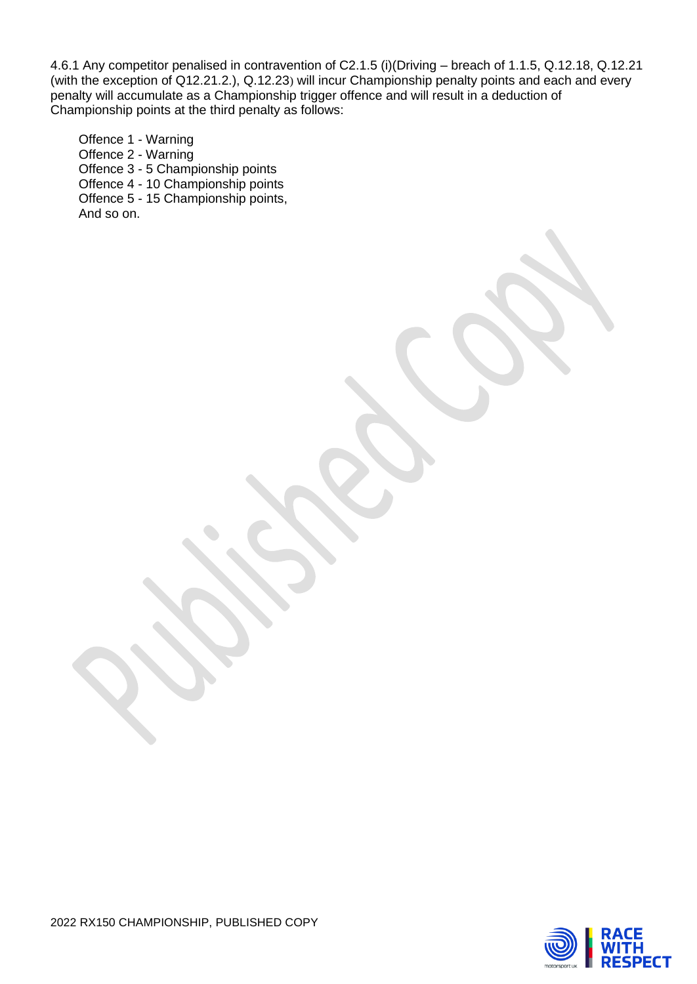4.6.1 Any competitor penalised in contravention of C2.1.5 (i)(Driving – breach of 1.1.5, Q.12.18, Q.12.21 (with the exception of Q12.21.2.), Q.12.23) will incur Championship penalty points and each and every penalty will accumulate as a Championship trigger offence and will result in a deduction of Championship points at the third penalty as follows:

Offence 1 - Warning Offence 2 - Warning Offence 3 - 5 Championship points Offence 4 - 10 Championship points Offence 5 - 15 Championship points, And so on.

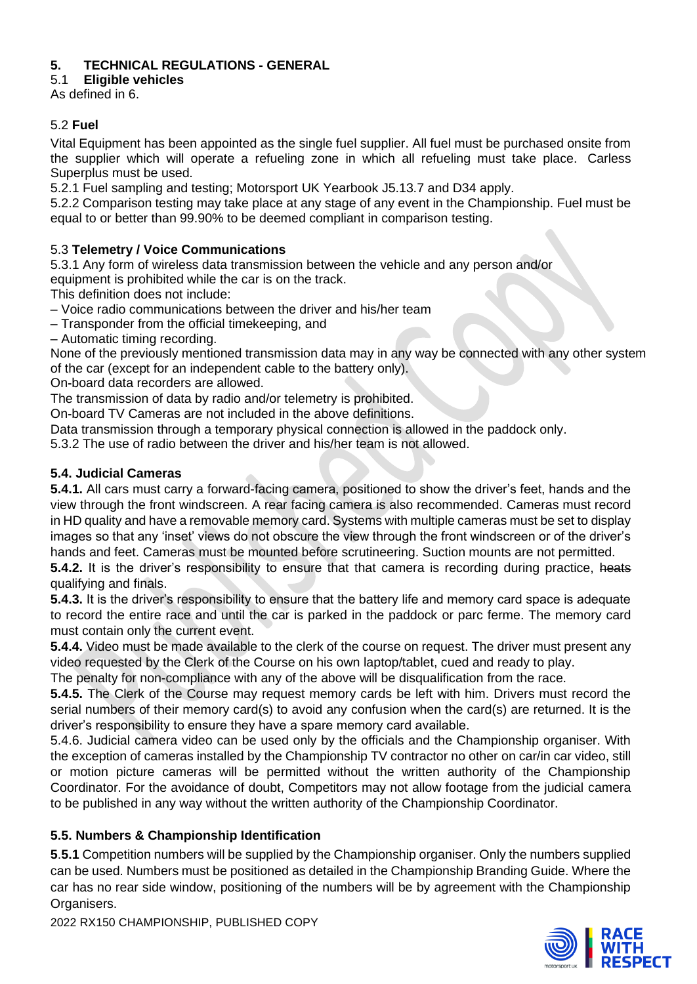## **5. TECHNICAL REGULATIONS - GENERAL**

5.1 **Eligible vehicles**

As defined in 6.

## 5.2 **Fuel**

Vital Equipment has been appointed as the single fuel supplier. All fuel must be purchased onsite from the supplier which will operate a refueling zone in which all refueling must take place. Carless Superplus must be used.

5.2.1 Fuel sampling and testing; Motorsport UK Yearbook J5.13.7 and D34 apply.

5.2.2 Comparison testing may take place at any stage of any event in the Championship. Fuel must be equal to or better than 99.90% to be deemed compliant in comparison testing.

## 5.3 **Telemetry / Voice Communications**

5.3.1 Any form of wireless data transmission between the vehicle and any person and/or

equipment is prohibited while the car is on the track.

This definition does not include:

– Voice radio communications between the driver and his/her team

– Transponder from the official timekeeping, and

– Automatic timing recording.

None of the previously mentioned transmission data may in any way be connected with any other system of the car (except for an independent cable to the battery only).

On**‐**board data recorders are allowed.

The transmission of data by radio and/or telemetry is prohibited.

On**‐**board TV Cameras are not included in the above definitions.

Data transmission through a temporary physical connection is allowed in the paddock only.

5.3.2 The use of radio between the driver and his/her team is not allowed.

## **5.4. Judicial Cameras**

**5.4.1.** All cars must carry a forward-facing camera, positioned to show the driver's feet, hands and the view through the front windscreen. A rear facing camera is also recommended. Cameras must record in HD quality and have a removable memory card. Systems with multiple cameras must be set to display images so that any 'inset' views do not obscure the view through the front windscreen or of the driver's hands and feet. Cameras must be mounted before scrutineering. Suction mounts are not permitted.

**5.4.2.** It is the driver's responsibility to ensure that that camera is recording during practice, heats qualifying and finals.

**5.4.3.** It is the driver's responsibility to ensure that the battery life and memory card space is adequate to record the entire race and until the car is parked in the paddock or parc ferme. The memory card must contain only the current event.

**5.4.4.** Video must be made available to the clerk of the course on request. The driver must present any video requested by the Clerk of the Course on his own laptop/tablet, cued and ready to play.

The penalty for non-compliance with any of the above will be disqualification from the race.

**5.4.5.** The Clerk of the Course may request memory cards be left with him. Drivers must record the serial numbers of their memory card(s) to avoid any confusion when the card(s) are returned. It is the driver's responsibility to ensure they have a spare memory card available.

5.4.6. Judicial camera video can be used only by the officials and the Championship organiser. With the exception of cameras installed by the Championship TV contractor no other on car/in car video, still or motion picture cameras will be permitted without the written authority of the Championship Coordinator. For the avoidance of doubt, Competitors may not allow footage from the judicial camera to be published in any way without the written authority of the Championship Coordinator.

## **5.5. Numbers & Championship Identification**

**5**.**5.1** Competition numbers will be supplied by the Championship organiser. Only the numbers supplied can be used. Numbers must be positioned as detailed in the Championship Branding Guide. Where the car has no rear side window, positioning of the numbers will be by agreement with the Championship Organisers.



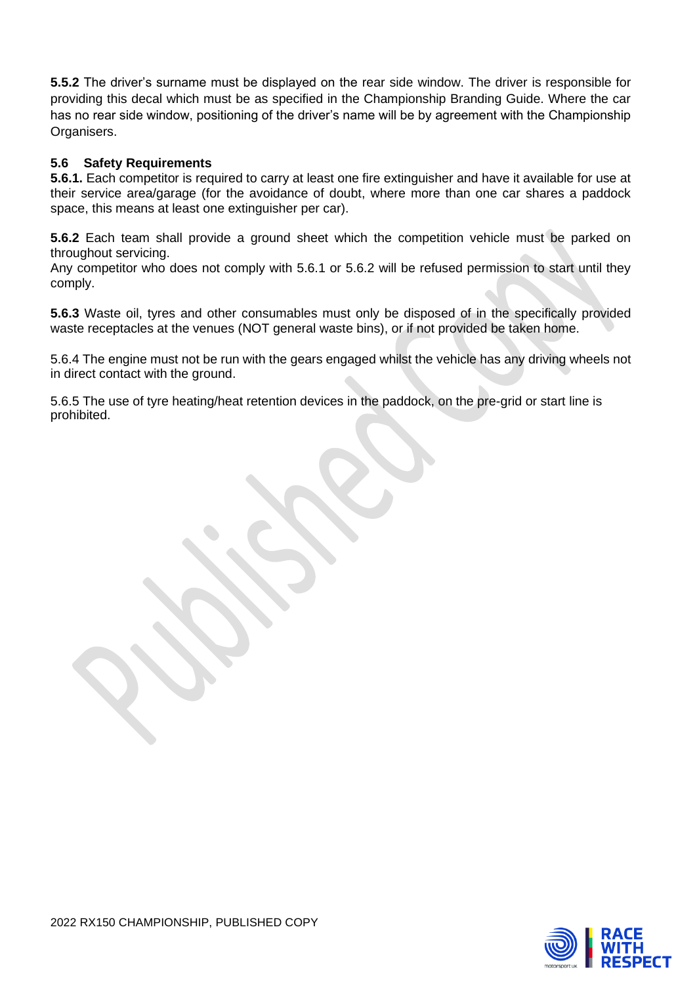**5.5.2** The driver's surname must be displayed on the rear side window. The driver is responsible for providing this decal which must be as specified in the Championship Branding Guide. Where the car has no rear side window, positioning of the driver's name will be by agreement with the Championship Organisers.

## **5.6 Safety Requirements**

**5.6.1.** Each competitor is required to carry at least one fire extinguisher and have it available for use at their service area/garage (for the avoidance of doubt, where more than one car shares a paddock space, this means at least one extinguisher per car).

**5.6.2** Each team shall provide a ground sheet which the competition vehicle must be parked on throughout servicing.

Any competitor who does not comply with 5.6.1 or 5.6.2 will be refused permission to start until they comply.

**5.6.3** Waste oil, tyres and other consumables must only be disposed of in the specifically provided waste receptacles at the venues (NOT general waste bins), or if not provided be taken home.

5.6.4 The engine must not be run with the gears engaged whilst the vehicle has any driving wheels not in direct contact with the ground.

5.6.5 The use of tyre heating/heat retention devices in the paddock, on the pre-grid or start line is prohibited.

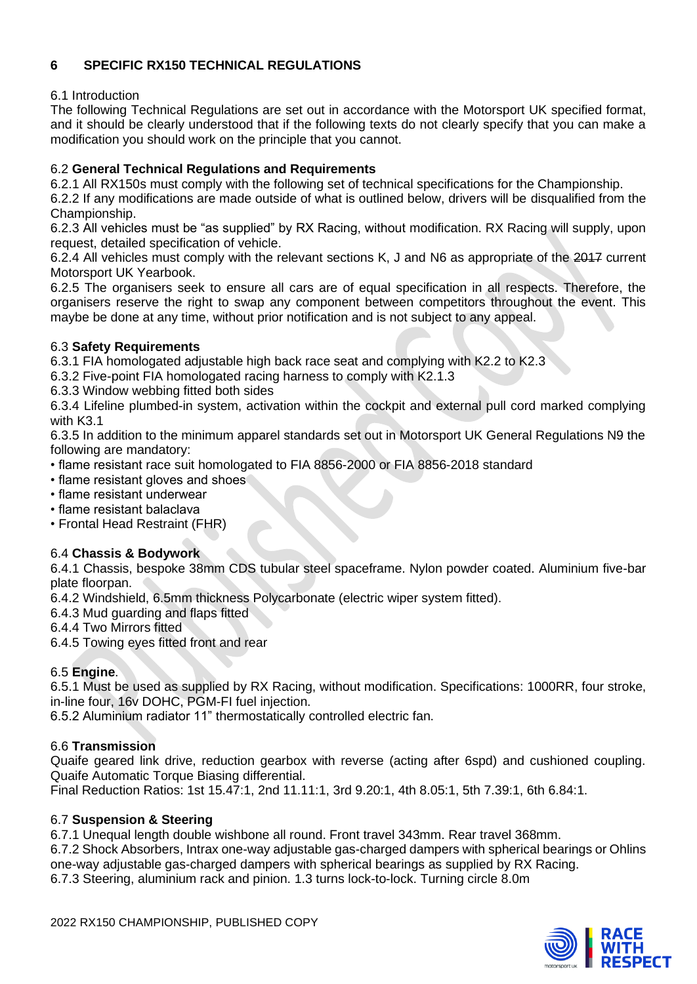## **6 SPECIFIC RX150 TECHNICAL REGULATIONS**

## 6.1 Introduction

The following Technical Regulations are set out in accordance with the Motorsport UK specified format, and it should be clearly understood that if the following texts do not clearly specify that you can make a modification you should work on the principle that you cannot.

## 6.2 **General Technical Regulations and Requirements**

6.2.1 All RX150s must comply with the following set of technical specifications for the Championship.

6.2.2 If any modifications are made outside of what is outlined below, drivers will be disqualified from the Championship.

6.2.3 All vehicles must be "as supplied" by RX Racing, without modification. RX Racing will supply, upon request, detailed specification of vehicle.

6.2.4 All vehicles must comply with the relevant sections K, J and N6 as appropriate of the 2017 current Motorsport UK Yearbook.

6.2.5 The organisers seek to ensure all cars are of equal specification in all respects. Therefore, the organisers reserve the right to swap any component between competitors throughout the event. This maybe be done at any time, without prior notification and is not subject to any appeal.

## 6.3 **Safety Requirements**

6.3.1 FIA homologated adjustable high back race seat and complying with K2.2 to K2.3

6.3.2 Five-point FIA homologated racing harness to comply with K2.1.3

6.3.3 Window webbing fitted both sides

6.3.4 Lifeline plumbed-in system, activation within the cockpit and external pull cord marked complying with K3.1

6.3.5 In addition to the minimum apparel standards set out in Motorsport UK General Regulations N9 the following are mandatory:

• flame resistant race suit homologated to FIA 8856-2000 or FIA 8856-2018 standard

- flame resistant gloves and shoes
- flame resistant underwear
- flame resistant balaclava
- Frontal Head Restraint (FHR)

## 6.4 **Chassis & Bodywork**

6.4.1 Chassis, bespoke 38mm CDS tubular steel spaceframe. Nylon powder coated. Aluminium five-bar plate floorpan.

6.4.2 Windshield, 6.5mm thickness Polycarbonate (electric wiper system fitted).

6.4.3 Mud guarding and flaps fitted

6.4.4 Two Mirrors fitted

6.4.5 Towing eyes fitted front and rear

## 6.5 **Engine**.

6.5.1 Must be used as supplied by RX Racing, without modification. Specifications: 1000RR, four stroke, in-line four, 16v DOHC, PGM-FI fuel injection.

6.5.2 Aluminium radiator 11" thermostatically controlled electric fan.

## 6.6 **Transmission**

Quaife geared link drive, reduction gearbox with reverse (acting after 6spd) and cushioned coupling. Quaife Automatic Torque Biasing differential.

Final Reduction Ratios: 1st 15.47:1, 2nd 11.11:1, 3rd 9.20:1, 4th 8.05:1, 5th 7.39:1, 6th 6.84:1.

## 6.7 **Suspension & Steering**

6.7.1 Unequal length double wishbone all round. Front travel 343mm. Rear travel 368mm.

6.7.2 Shock Absorbers, Intrax one-way adjustable gas-charged dampers with spherical bearings or Ohlins one-way adjustable gas-charged dampers with spherical bearings as supplied by RX Racing.

6.7.3 Steering, aluminium rack and pinion. 1.3 turns lock-to-lock. Turning circle 8.0m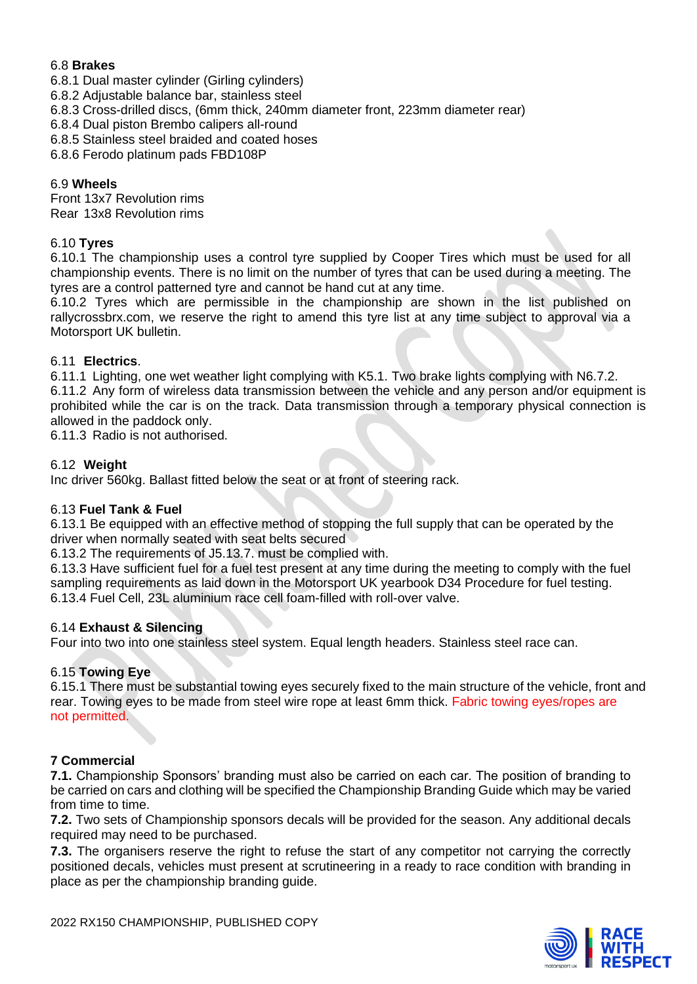## 6.8 **Brakes**

- 6.8.1 Dual master cylinder (Girling cylinders)
- 6.8.2 Adjustable balance bar, stainless steel
- 6.8.3 Cross-drilled discs, (6mm thick, 240mm diameter front, 223mm diameter rear)
- 6.8.4 Dual piston Brembo calipers all-round
- 6.8.5 Stainless steel braided and coated hoses
- 6.8.6 Ferodo platinum pads FBD108P

## 6.9 **Wheels**

Front 13x7 Revolution rims Rear 13x8 Revolution rims

## 6.10 **Tyres**

6.10.1 The championship uses a control tyre supplied by Cooper Tires which must be used for all championship events. There is no limit on the number of tyres that can be used during a meeting. The tyres are a control patterned tyre and cannot be hand cut at any time.

6.10.2 Tyres which are permissible in the championship are shown in the list published on rallycrossbrx.com, we reserve the right to amend this tyre list at any time subject to approval via a Motorsport UK bulletin.

## 6.11 **Electrics**.

6.11.1 Lighting, one wet weather light complying with K5.1. Two brake lights complying with N6.7.2. 6.11.2 Any form of wireless data transmission between the vehicle and any person and/or equipment is prohibited while the car is on the track. Data transmission through a temporary physical connection is allowed in the paddock only.

6.11.3 Radio is not authorised.

## 6.12 **Weight**

Inc driver 560kg. Ballast fitted below the seat or at front of steering rack.

## 6.13 **Fuel Tank & Fuel**

6.13.1 Be equipped with an effective method of stopping the full supply that can be operated by the driver when normally seated with seat belts secured

6.13.2 The requirements of J5.13.7. must be complied with.

6.13.3 Have sufficient fuel for a fuel test present at any time during the meeting to comply with the fuel sampling requirements as laid down in the Motorsport UK yearbook D34 Procedure for fuel testing. 6.13.4 Fuel Cell, 23L aluminium race cell foam-filled with roll-over valve.

## 6.14 **Exhaust & Silencing**

Four into two into one stainless steel system. Equal length headers. Stainless steel race can.

## 6.15 **Towing Eye**

6.15.1 There must be substantial towing eyes securely fixed to the main structure of the vehicle, front and rear. Towing eyes to be made from steel wire rope at least 6mm thick. Fabric towing eyes/ropes are not permitted.

## **7 Commercial**

**7.1.** Championship Sponsors' branding must also be carried on each car. The position of branding to be carried on cars and clothing will be specified the Championship Branding Guide which may be varied from time to time.

**7.2.** Two sets of Championship sponsors decals will be provided for the season. Any additional decals required may need to be purchased.

**7.3.** The organisers reserve the right to refuse the start of any competitor not carrying the correctly positioned decals, vehicles must present at scrutineering in a ready to race condition with branding in place as per the championship branding guide.